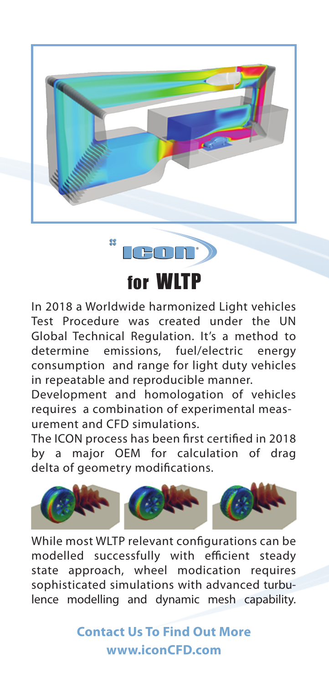



In 2018 a Worldwide harmonized Light vehicles Test Procedure was created under the UN Global Technical Regulation. It's a method to determine emissions, fuel/electric energy consumption and range for light duty vehicles in repeatable and reproducible manner.

Development and homologation of vehicles requires a combination of experimental measurement and CFD simulations.

The ICON process has been first certified in 2018 by a major OEM for calculation of drag delta of geometry modifications.



While most WLTP relevant configurations can be modelled successfully with efficient steady state approach, wheel modication requires sophisticated simulations with advanced turbulence modelling and dynamic mesh capability.

> **Contact Us To Find Out More www.iconCFD.com**